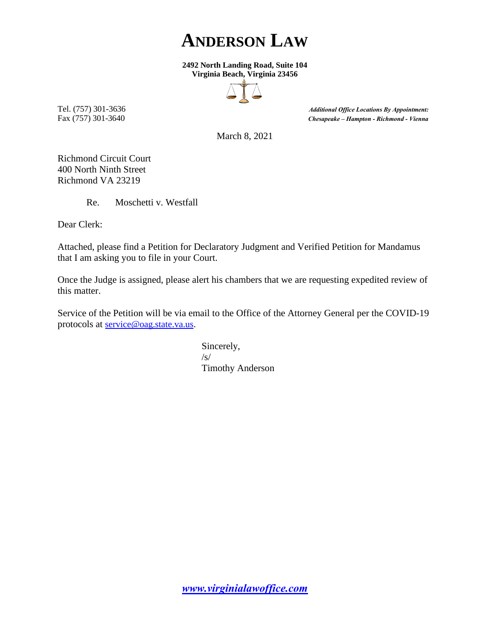# **ANDERSON LAW**

**2492 North Landing Road, Suite 104 Virginia Beach, Virginia 23456**



Tel. (757) 301-3636 *Additional Office Locations By Appointment:* Fax (757) 301-3640 *Chesapeake – Hampton - Richmond - Vienna*

March 8, 2021

Richmond Circuit Court 400 North Ninth Street Richmond VA 23219

Re. Moschetti v. Westfall

Dear Clerk:

Attached, please find a Petition for Declaratory Judgment and Verified Petition for Mandamus that I am asking you to file in your Court.

Once the Judge is assigned, please alert his chambers that we are requesting expedited review of this matter.

Service of the Petition will be via email to the Office of the Attorney General per the COVID-19 protocols at service@oag.state.va.us.

> Sincerely, /s/ Timothy Anderson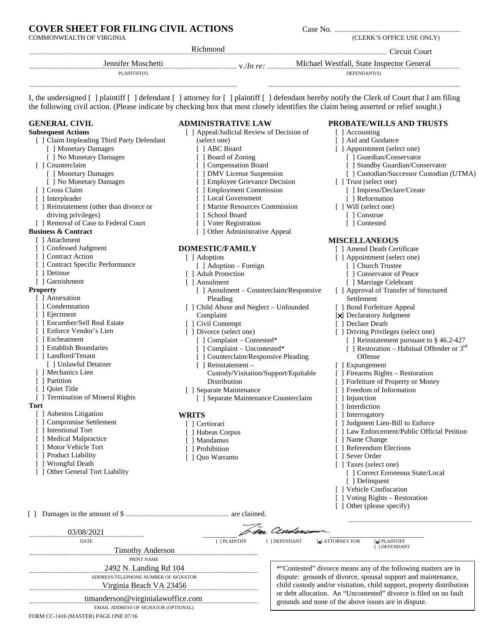| <b>COVER SHEET FOR FILING CIVIL ACTIONS</b>                                                                                           |                                                     |                                                                                                                                               |  |
|---------------------------------------------------------------------------------------------------------------------------------------|-----------------------------------------------------|-----------------------------------------------------------------------------------------------------------------------------------------------|--|
| <b>COMMONWEALTH OF VIRGINIA</b>                                                                                                       |                                                     | (CLERK'S OFFICE USE ONLY)                                                                                                                     |  |
| Richmond                                                                                                                              |                                                     |                                                                                                                                               |  |
| Jennifer Moschetti<br>PLAINTIFF(S)                                                                                                    |                                                     | DEFENDANT(S)                                                                                                                                  |  |
| the following civil action. (Please indicate by checking box that most closely identifies the claim being asserted or relief sought.) |                                                     | I, the undersigned [ ] plaintiff [ ] defendant [ ] attorney for [ ] plaintiff [ ] defendant hereby notify the Clerk of Court that I am filing |  |
| <b>GENERAL CIVIL</b>                                                                                                                  | <b>ADMINISTRATIVE LAW</b>                           | PROBATE/WILLS AND TRUSTS                                                                                                                      |  |
| <b>Subsequent Actions</b>                                                                                                             | [ ] Appeal/Judicial Review of Decision of           | [ ] Accounting                                                                                                                                |  |
| [ ] Claim Impleading Third Party Defendant                                                                                            | (select one)                                        | [ ] Aid and Guidance                                                                                                                          |  |
| [ ] Monetary Damages                                                                                                                  | [ ] ABC Board                                       | [ ] Appointment (select one)                                                                                                                  |  |
| [ ] No Monetary Damages                                                                                                               | [ ] Board of Zoning                                 | [ ] Guardian/Conservator                                                                                                                      |  |
| [ ] Counterclaim                                                                                                                      | [ ] Compensation Board                              | [ ] Standby Guardian/Conservator                                                                                                              |  |
| [ ] Monetary Damages                                                                                                                  | [ ] DMV License Suspension                          | [ ] Custodian/Successor Custodian (UTMA)                                                                                                      |  |
| [ ] No Monetary Damages                                                                                                               | [ ] Employee Grievance Decision                     | [ ] Trust (select one)                                                                                                                        |  |
| [ ] Cross Claim                                                                                                                       | [ ] Employment Commission                           | [ ] Impress/Declare/Create                                                                                                                    |  |
| [ ] Interpleader                                                                                                                      | [ ] Local Government                                | [ ] Reformation                                                                                                                               |  |
| [] Reinstatement (other than divorce or                                                                                               | [ ] Marine Resources Commission                     | [ ] Will (select one)                                                                                                                         |  |
| driving privileges)                                                                                                                   | [ ] School Board                                    | [ ] Construe                                                                                                                                  |  |
| [ ] Removal of Case to Federal Court                                                                                                  | [ ] Voter Registration                              | [ ] Contested                                                                                                                                 |  |
| <b>Business &amp; Contract</b>                                                                                                        | [ ] Other Administrative Appeal                     |                                                                                                                                               |  |
| [ ] Attachment                                                                                                                        |                                                     | <b>MISCELLANEOUS</b>                                                                                                                          |  |
| [ ] Confessed Judgment<br>[ ] Contract Action                                                                                         | <b>DOMESTIC/FAMILY</b>                              | [ ] Amend Death Certificate                                                                                                                   |  |
|                                                                                                                                       | [ ] Adoption                                        | [ ] Appointment (select one)                                                                                                                  |  |
| [ ] Contract Specific Performance                                                                                                     | [ ] Adoption – Foreign                              | [ ] Church Trustee                                                                                                                            |  |
| [ ] Detinue<br>[ ] Garnishment                                                                                                        | [ ] Adult Protection                                | [ ] Conservator of Peace                                                                                                                      |  |
| <b>Property</b>                                                                                                                       | [ ] Annulment                                       | [ ] Marriage Celebrant                                                                                                                        |  |
| [ ] Annexation                                                                                                                        | [ ] Annulment – Counterclaim/Responsive             | [ ] Approval of Transfer of Structured<br>Settlement                                                                                          |  |
| [ ] Condemnation                                                                                                                      | Pleading<br>[ ] Child Abuse and Neglect - Unfounded | [ ] Bond Forfeiture Appeal                                                                                                                    |  |
| [ ] Ejectment                                                                                                                         | Complaint                                           | [X] Declaratory Judgment                                                                                                                      |  |
| [ ] Encumber/Sell Real Estate                                                                                                         | [ ] Civil Contempt                                  | [ ] Declare Death                                                                                                                             |  |
| [ ] Enforce Vendor's Lien                                                                                                             | [ ] Divorce (select one)                            | [ ] Driving Privileges (select one)                                                                                                           |  |
| [ ] Escheatment                                                                                                                       | [ ] Complaint – Contested*                          | [ ] Reinstatement pursuant to § 46.2-427                                                                                                      |  |
| [ ] Establish Boundaries                                                                                                              | [ ] Complaint – Uncontested*                        | [ ] Restoration – Habitual Offender or $3^{\text{rd}}$                                                                                        |  |
| [ ] Landlord/Tenant                                                                                                                   | [ ] Counterclaim/Responsive Pleading                | Offense                                                                                                                                       |  |
| [ ] Unlawful Detainer                                                                                                                 | $\lceil \; \rceil$ Reinstatement –                  | [ ] Expungement                                                                                                                               |  |
| [ ] Mechanics Lien                                                                                                                    | Custody/Visitation/Support/Equitable                | [ ] Firearms Rights – Restoration                                                                                                             |  |
| [ ] Partition                                                                                                                         | Distribution                                        | [ ] Forfeiture of Property or Money                                                                                                           |  |
| [ ] Quiet Title                                                                                                                       | [ ] Separate Maintenance                            | [] Freedom of Information                                                                                                                     |  |
| [ ] Termination of Mineral Rights                                                                                                     | [ ] Separate Maintenance Counterclaim               | [ ] Injunction                                                                                                                                |  |
| Tort                                                                                                                                  |                                                     | [ ] Interdiction                                                                                                                              |  |
| [ ] Asbestos Litigation                                                                                                               | <b>WRITS</b>                                        | [ ] Interrogatory                                                                                                                             |  |
| [ ] Compromise Settlement                                                                                                             | [ ] Certiorari                                      | [ ] Judgment Lien-Bill to Enforce                                                                                                             |  |
| [ ] Intentional Tort                                                                                                                  | [ ] Habeas Corpus                                   | [] Law Enforcement/Public Official Petition                                                                                                   |  |
| [ ] Medical Malpractice                                                                                                               | [ ] Mandamus                                        | [ ] Name Change                                                                                                                               |  |
| [ ] Motor Vehicle Tort                                                                                                                | [ ] Prohibition                                     | [ ] Referendum Elections                                                                                                                      |  |
| [ ] Product Liability                                                                                                                 | [ ] Quo Warranto                                    | [ ] Sever Order                                                                                                                               |  |
| [ ] Wrongful Death                                                                                                                    |                                                     | [ ] Taxes (select one)                                                                                                                        |  |
| [ ] Other General Tort Liability                                                                                                      |                                                     | [ ] Correct Erroneous State/Local                                                                                                             |  |
|                                                                                                                                       |                                                     | [ ] Delinquent                                                                                                                                |  |
|                                                                                                                                       |                                                     | [ ] Vehicle Confiscation                                                                                                                      |  |
|                                                                                                                                       |                                                     | [ ] Voting Rights - Restoration                                                                                                               |  |
|                                                                                                                                       |                                                     | [ ] Other (please specify)                                                                                                                    |  |
|                                                                                                                                       |                                                     |                                                                                                                                               |  |
| 03/08/2021                                                                                                                            | im Cendens                                          |                                                                                                                                               |  |
| <b>DATE</b>                                                                                                                           | [ ] PLAINTIFF<br>[ ] DEFENDANT                      | $\mathbf{x}$ ATTORNEY FOR<br>$[x]$ PLAINTIFF<br>[ ] DEFENDANT                                                                                 |  |
| <b>Timothy Anderson</b>                                                                                                               |                                                     |                                                                                                                                               |  |
| PRINT NAME                                                                                                                            |                                                     |                                                                                                                                               |  |

\*"Contested" divorce means any of the following matters are in dispute: grounds of divorce, spousal support and maintenance, child custody and/or visitation, child support, property distribution or debt allocation. An "Uncontested" divorce is filed on no fault grounds and none of the above issues are in dispute.

FORM CC-1416 (MASTER) PAGE ONE 07/16

ADDRESS/TELEPHONE NUMBER OF SIGNATOR ............................................................................................................................................ Virginia Beach VA 23456

2492 N. Landing Rd 104

............................................................................................................................................ EMAIL ADDRESS OF SIGNATOR (OPTIONAL)

timanderson@virginialawoffice.com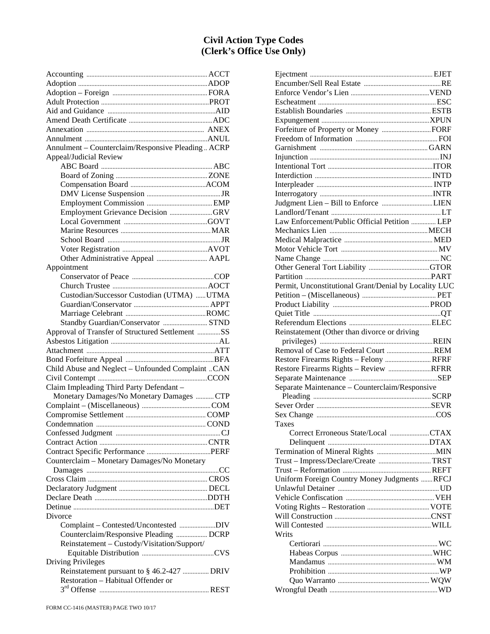#### **Civil Action Type Codes (Clerk's Office Use Only)**

| Annulment - Counterclaim/Responsive Pleading ACRP |  |
|---------------------------------------------------|--|
| Appeal/Judicial Review                            |  |
|                                                   |  |
|                                                   |  |
|                                                   |  |
|                                                   |  |
|                                                   |  |
| Employment Grievance Decision GRV                 |  |
|                                                   |  |
|                                                   |  |
|                                                   |  |
|                                                   |  |
|                                                   |  |
|                                                   |  |
| Appointment                                       |  |
|                                                   |  |
|                                                   |  |
| Custodian/Successor Custodian (UTMA) UTMA         |  |
|                                                   |  |
|                                                   |  |
| Standby Guardian/Conservator  STND                |  |
| Approval of Transfer of Structured Settlement SS  |  |
|                                                   |  |
|                                                   |  |
|                                                   |  |
|                                                   |  |
| Child Abuse and Neglect - Unfounded Complaint CAN |  |
|                                                   |  |
|                                                   |  |
| Claim Impleading Third Party Defendant -          |  |
| Monetary Damages/No Monetary Damages  CTP         |  |
|                                                   |  |
|                                                   |  |
|                                                   |  |
|                                                   |  |
|                                                   |  |
|                                                   |  |
| Counterclaim - Monetary Damages/No Monetary       |  |
|                                                   |  |
|                                                   |  |
|                                                   |  |
|                                                   |  |
|                                                   |  |
| Divorce                                           |  |
| Complaint - Contested/Uncontested DIV             |  |
| Counterclaim/Responsive Pleading  DCRP            |  |
| Reinstatement - Custody/Visitation/Support/       |  |
|                                                   |  |
| <b>Driving Privileges</b>                         |  |
| Reinstatement pursuant to § 46.2-427  DRIV        |  |
| Restoration - Habitual Offender or                |  |

| Judgment Lien - Bill to Enforce LIEN                  |  |
|-------------------------------------------------------|--|
|                                                       |  |
| Law Enforcement/Public Official Petition  LEP         |  |
|                                                       |  |
|                                                       |  |
|                                                       |  |
|                                                       |  |
|                                                       |  |
|                                                       |  |
| Permit, Unconstitutional Grant/Denial by Locality LUC |  |
|                                                       |  |
|                                                       |  |
|                                                       |  |
|                                                       |  |
| Reinstatement (Other than divorce or driving          |  |
|                                                       |  |
|                                                       |  |
| Restore Firearms Rights - Felony  RFRF                |  |
| Restore Firearms Rights - Review RFRR                 |  |
|                                                       |  |
| Separate Maintenance - Counterclaim/Responsive        |  |
|                                                       |  |
|                                                       |  |
|                                                       |  |
|                                                       |  |
| Taxes                                                 |  |
|                                                       |  |
|                                                       |  |
|                                                       |  |
|                                                       |  |
|                                                       |  |
| Uniform Foreign Country Money Judgments RFCJ          |  |
|                                                       |  |
|                                                       |  |
|                                                       |  |
|                                                       |  |
|                                                       |  |
| Writs                                                 |  |
|                                                       |  |
|                                                       |  |
|                                                       |  |
|                                                       |  |
|                                                       |  |
|                                                       |  |
|                                                       |  |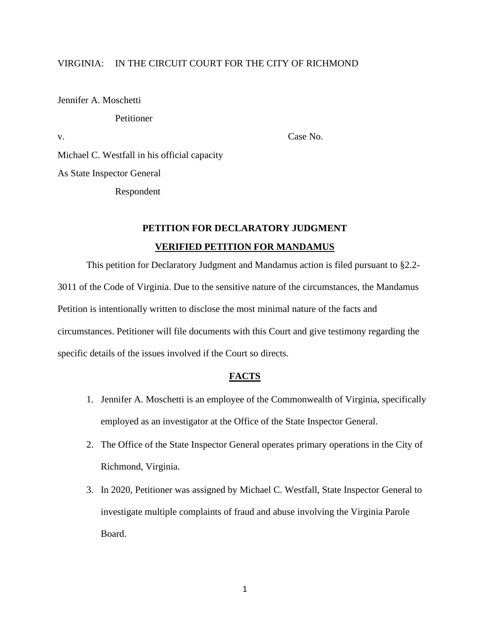#### VIRGINIA: IN THE CIRCUIT COURT FOR THE CITY OF RICHMOND

Jennifer A. Moschetti Petitioner v. Case No. Michael C. Westfall in his official capacity As State Inspector General Respondent

### **PETITION FOR DECLARATORY JUDGMENT VERIFIED PETITION FOR MANDAMUS**

This petition for Declaratory Judgment and Mandamus action is filed pursuant to §2.2- 3011 of the Code of Virginia. Due to the sensitive nature of the circumstances, the Mandamus Petition is intentionally written to disclose the most minimal nature of the facts and circumstances. Petitioner will file documents with this Court and give testimony regarding the specific details of the issues involved if the Court so directs.

#### **FACTS**

- 1. Jennifer A. Moschetti is an employee of the Commonwealth of Virginia, specifically employed as an investigator at the Office of the State Inspector General.
- 2. The Office of the State Inspector General operates primary operations in the City of Richmond, Virginia.
- 3. In 2020, Petitioner was assigned by Michael C. Westfall, State Inspector General to investigate multiple complaints of fraud and abuse involving the Virginia Parole Board.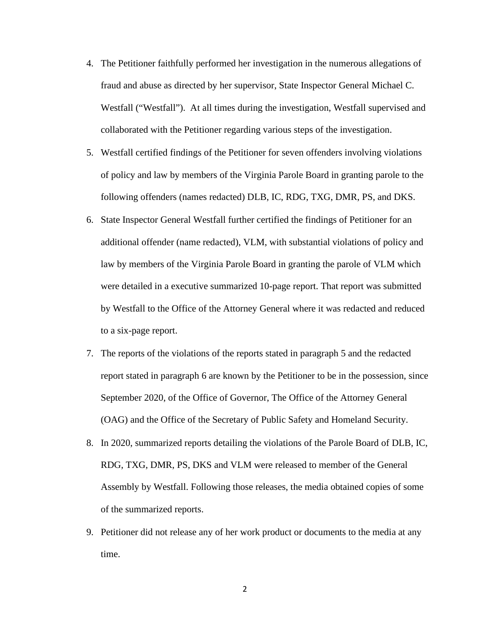- 4. The Petitioner faithfully performed her investigation in the numerous allegations of fraud and abuse as directed by her supervisor, State Inspector General Michael C. Westfall ("Westfall"). At all times during the investigation, Westfall supervised and collaborated with the Petitioner regarding various steps of the investigation.
- 5. Westfall certified findings of the Petitioner for seven offenders involving violations of policy and law by members of the Virginia Parole Board in granting parole to the following offenders (names redacted) DLB, IC, RDG, TXG, DMR, PS, and DKS.
- 6. State Inspector General Westfall further certified the findings of Petitioner for an additional offender (name redacted), VLM, with substantial violations of policy and law by members of the Virginia Parole Board in granting the parole of VLM which were detailed in a executive summarized 10-page report. That report was submitted by Westfall to the Office of the Attorney General where it was redacted and reduced to a six-page report.
- 7. The reports of the violations of the reports stated in paragraph 5 and the redacted report stated in paragraph 6 are known by the Petitioner to be in the possession, since September 2020, of the Office of Governor, The Office of the Attorney General (OAG) and the Office of the Secretary of Public Safety and Homeland Security.
- 8. In 2020, summarized reports detailing the violations of the Parole Board of DLB, IC, RDG, TXG, DMR, PS, DKS and VLM were released to member of the General Assembly by Westfall. Following those releases, the media obtained copies of some of the summarized reports.
- 9. Petitioner did not release any of her work product or documents to the media at any time.

2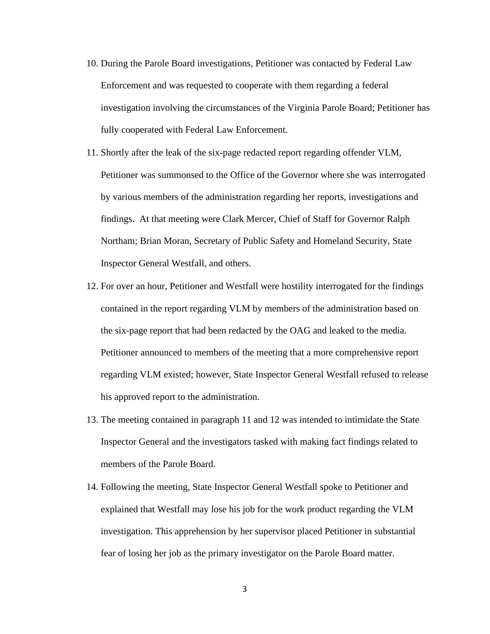- 10. During the Parole Board investigations, Petitioner was contacted by Federal Law Enforcement and was requested to cooperate with them regarding a federal investigation involving the circumstances of the Virginia Parole Board; Petitioner has fully cooperated with Federal Law Enforcement.
- 11. Shortly after the leak of the six-page redacted report regarding offender VLM, Petitioner was summonsed to the Office of the Governor where she was interrogated by various members of the administration regarding her reports, investigations and findings. At that meeting were Clark Mercer, Chief of Staff for Governor Ralph Northam; Brian Moran, Secretary of Public Safety and Homeland Security, State Inspector General Westfall, and others.
- 12. For over an hour, Petitioner and Westfall were hostility interrogated for the findings contained in the report regarding VLM by members of the administration based on the six-page report that had been redacted by the OAG and leaked to the media. Petitioner announced to members of the meeting that a more comprehensive report regarding VLM existed; however, State Inspector General Westfall refused to release his approved report to the administration.
- 13. The meeting contained in paragraph 11 and 12 was intended to intimidate the State Inspector General and the investigators tasked with making fact findings related to members of the Parole Board.
- 14. Following the meeting, State Inspector General Westfall spoke to Petitioner and explained that Westfall may lose his job for the work product regarding the VLM investigation. This apprehension by her supervisor placed Petitioner in substantial fear of losing her job as the primary investigator on the Parole Board matter.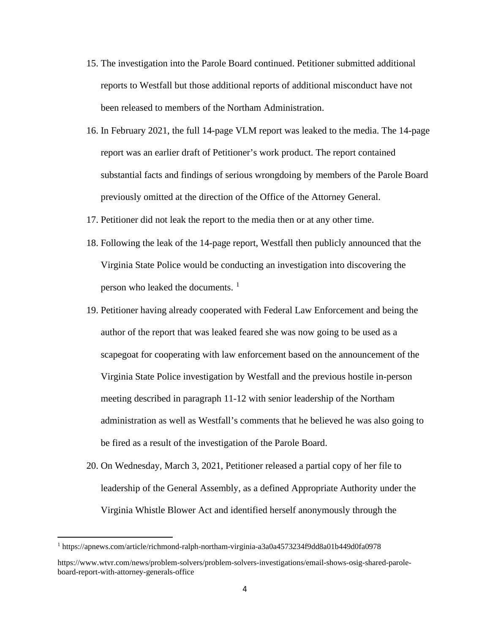- 15. The investigation into the Parole Board continued. Petitioner submitted additional reports to Westfall but those additional reports of additional misconduct have not been released to members of the Northam Administration.
- 16. In February 2021, the full 14-page VLM report was leaked to the media. The 14-page report was an earlier draft of Petitioner's work product. The report contained substantial facts and findings of serious wrongdoing by members of the Parole Board previously omitted at the direction of the Office of the Attorney General.
- 17. Petitioner did not leak the report to the media then or at any other time.
- 18. Following the leak of the 14-page report, Westfall then publicly announced that the Virginia State Police would be conducting an investigation into discovering the person who leaked the documents.<sup>1</sup>
- 19. Petitioner having already cooperated with Federal Law Enforcement and being the author of the report that was leaked feared she was now going to be used as a scapegoat for cooperating with law enforcement based on the announcement of the Virginia State Police investigation by Westfall and the previous hostile in-person meeting described in paragraph 11-12 with senior leadership of the Northam administration as well as Westfall's comments that he believed he was also going to be fired as a result of the investigation of the Parole Board.
- 20. On Wednesday, March 3, 2021, Petitioner released a partial copy of her file to leadership of the General Assembly, as a defined Appropriate Authority under the Virginia Whistle Blower Act and identified herself anonymously through the

<sup>1</sup> https://apnews.com/article/richmond-ralph-northam-virginia-a3a0a4573234f9dd8a01b449d0fa0978

https://www.wtvr.com/news/problem-solvers/problem-solvers-investigations/email-shows-osig-shared-paroleboard-report-with-attorney-generals-office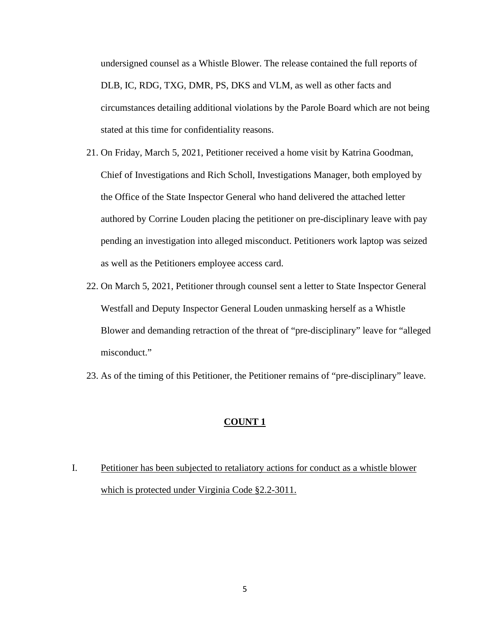undersigned counsel as a Whistle Blower. The release contained the full reports of DLB, IC, RDG, TXG, DMR, PS, DKS and VLM, as well as other facts and circumstances detailing additional violations by the Parole Board which are not being stated at this time for confidentiality reasons.

- 21. On Friday, March 5, 2021, Petitioner received a home visit by Katrina Goodman, Chief of Investigations and Rich Scholl, Investigations Manager, both employed by the Office of the State Inspector General who hand delivered the attached letter authored by Corrine Louden placing the petitioner on pre-disciplinary leave with pay pending an investigation into alleged misconduct. Petitioners work laptop was seized as well as the Petitioners employee access card.
- 22. On March 5, 2021, Petitioner through counsel sent a letter to State Inspector General Westfall and Deputy Inspector General Louden unmasking herself as a Whistle Blower and demanding retraction of the threat of "pre-disciplinary" leave for "alleged misconduct."
- 23. As of the timing of this Petitioner, the Petitioner remains of "pre-disciplinary" leave.

#### **COUNT 1**

I. Petitioner has been subjected to retaliatory actions for conduct as a whistle blower which is protected under Virginia Code §2.2-3011.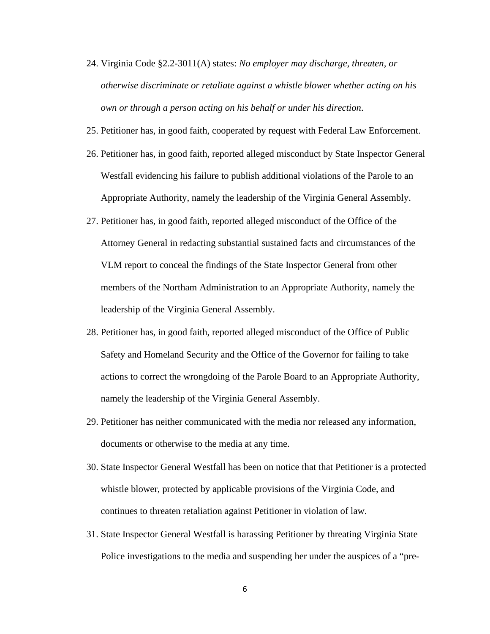- 24. Virginia Code §2.2-3011(A) states: *No employer may discharge, threaten, or otherwise discriminate or retaliate against a whistle blower whether acting on his own or through a person acting on his behalf or under his direction*.
- 25. Petitioner has, in good faith, cooperated by request with Federal Law Enforcement.
- 26. Petitioner has, in good faith, reported alleged misconduct by State Inspector General Westfall evidencing his failure to publish additional violations of the Parole to an Appropriate Authority, namely the leadership of the Virginia General Assembly.
- 27. Petitioner has, in good faith, reported alleged misconduct of the Office of the Attorney General in redacting substantial sustained facts and circumstances of the VLM report to conceal the findings of the State Inspector General from other members of the Northam Administration to an Appropriate Authority, namely the leadership of the Virginia General Assembly.
- 28. Petitioner has, in good faith, reported alleged misconduct of the Office of Public Safety and Homeland Security and the Office of the Governor for failing to take actions to correct the wrongdoing of the Parole Board to an Appropriate Authority, namely the leadership of the Virginia General Assembly.
- 29. Petitioner has neither communicated with the media nor released any information, documents or otherwise to the media at any time.
- 30. State Inspector General Westfall has been on notice that that Petitioner is a protected whistle blower, protected by applicable provisions of the Virginia Code, and continues to threaten retaliation against Petitioner in violation of law.
- 31. State Inspector General Westfall is harassing Petitioner by threating Virginia State Police investigations to the media and suspending her under the auspices of a "pre-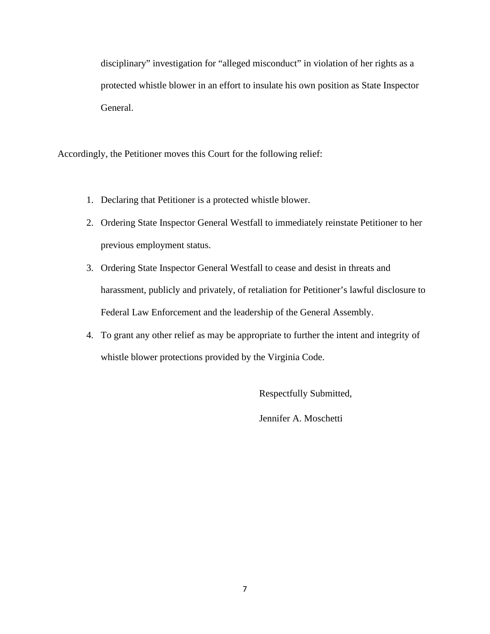disciplinary" investigation for "alleged misconduct" in violation of her rights as a protected whistle blower in an effort to insulate his own position as State Inspector General.

Accordingly, the Petitioner moves this Court for the following relief:

- 1. Declaring that Petitioner is a protected whistle blower.
- 2. Ordering State Inspector General Westfall to immediately reinstate Petitioner to her previous employment status.
- 3. Ordering State Inspector General Westfall to cease and desist in threats and harassment, publicly and privately, of retaliation for Petitioner's lawful disclosure to Federal Law Enforcement and the leadership of the General Assembly.
- 4. To grant any other relief as may be appropriate to further the intent and integrity of whistle blower protections provided by the Virginia Code.

Respectfully Submitted,

Jennifer A. Moschetti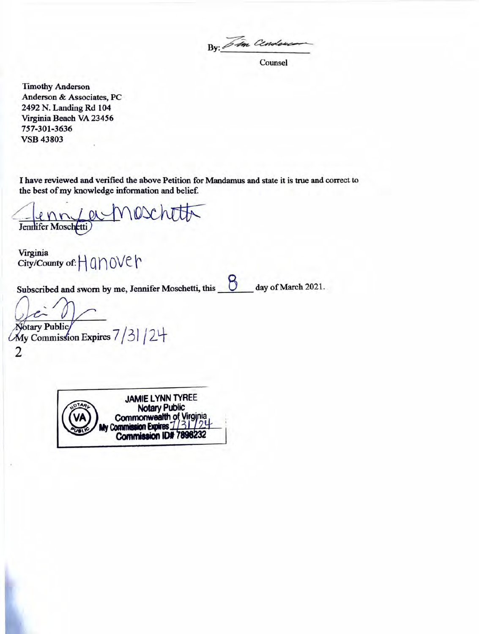$By: \overrightarrow{\delta m}$  Con

Counsel

Timothy Anderson Anderson & Associates, PC 2492 N. Landing Rd 104 Virginia Beach VA 23456 757-301-3636 VSB 43803

I have reviewed and verified the above Petition for Mandamus and state it is true and correct to the best of my knowledge information and belief.

IOSC Jennifer Mosch

Vrrginia  $City/Country$  of:  $H$  and  $OVE$   $\uparrow$ 

Subscribed and sworn by me, Jennifer Moschetti, this **Quality of March 2021**.

Jotary Public

 $My$  Commission Expires  $7/3$  | 24 2

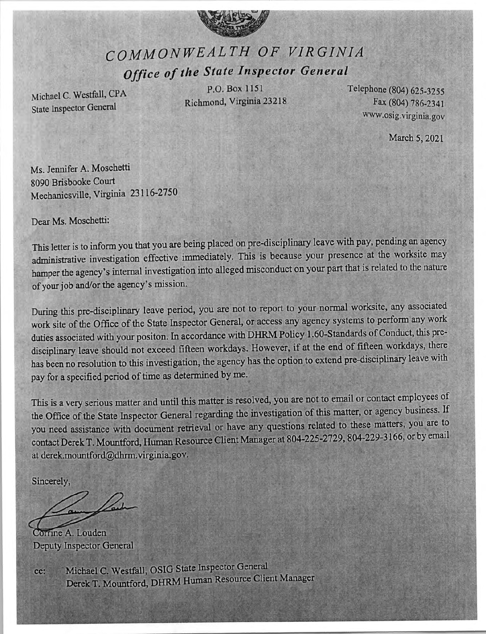

## COMMONWEALTH OF VIRGINIA Office of the State Inspector General

Michael C. Westfall, CPA **State Inspector General** 

P.O. Box 1151 Richmond, Virginia 23218 Telephone (804) 625-3255 Fax (804) 786-2341 www.osig.virginia.gov

March 5, 2021

Ms. Jennifer A. Moschetti 8090 Brisbooke Court Mechanicsville, Virginia 23116-2750

Dear Ms. Moschetti:

This letter is to inform you that you are being placed on pre-disciplinary leave with pay, pending an agency administrative investigation effective immediately. This is because your presence at the worksite may hamper the agency's internal investigation into alleged misconduct on your part that is related to the nature of your job and/or the agency's mission.

During this pre-disciplinary leave period, you are not to report to your normal worksite, any associated work site of the Office of the State Inspector General, or access any agency systems to perform any work duties associated with your positon. In accordance with DHRM Policy 1.60-Standards of Conduct, this predisciplinary leave should not exceed fifteen workdays. However, if at the end of fifteen workdays, there has been no resolution to this investigation, the agency has the option to extend pre-disciplinary leave with pay for a specified period of time as determined by me.

This is a very serious matter and until this matter is resolved, you are not to email or contact employees of the Office of the State Inspector General regarding the investigation of this matter, or agency business. If you need assistance with document retrieval or have any questions related to these matters, you are to contact Derek T. Mountford, Human Resource Client Manager at 804-225-2729, 804-229-3166, or by email at derek.mountford@dhrm.virginia.gov.

Sincerely,

Corrine A. Louden **Deputy Inspector General** 

Michael C. Westfall, OSIG State Inspector General cc: Derek T. Mountford, DHRM Human Resource Client Manager